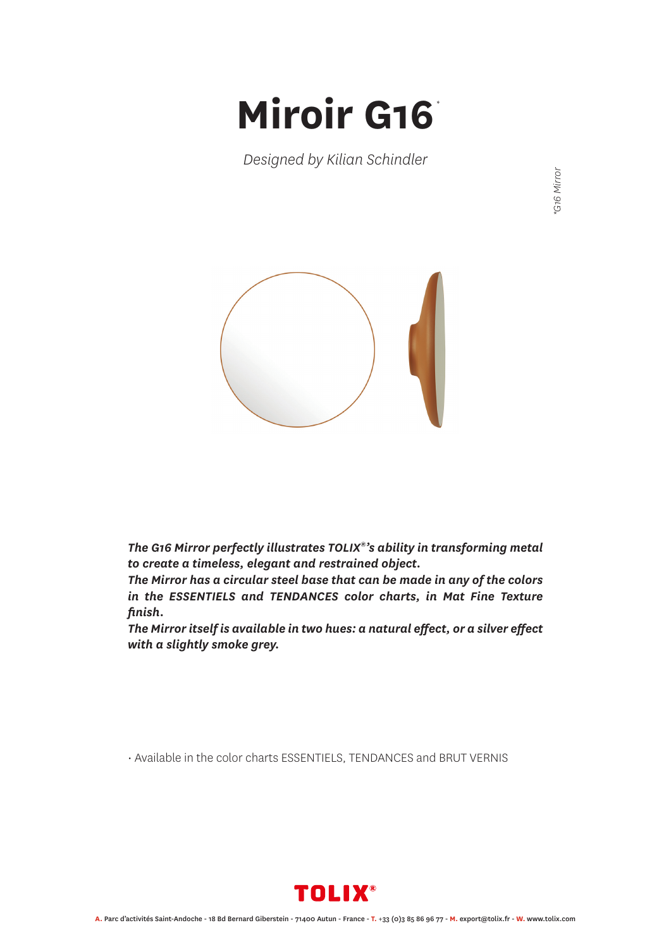## **Miroir G16** *\**

*Designed by Kilian Schindler*



*The G16 Mirror perfectly illustrates TOLIX®'s ability in transforming metal to create a timeless, elegant and restrained object.*

*The Mirror has a circular steel base that can be made in any of the colors in the ESSENTIELS and TENDANCES color charts, in Mat Fine Texture finish.*

*The Mirror itself is available in two hues: a natural effect, or a silver effect with a slightly smoke grey.*

• Available in the color charts ESSENTIELS, TENDANCES and BRUT VERNIS